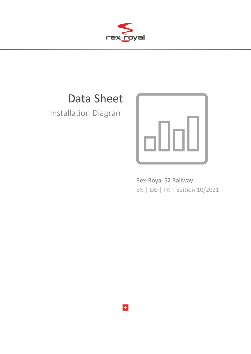

# Data Sheet

Installation Diagram



Rex-Royal S2 Railway EN | DE | FR | Edition 10/2021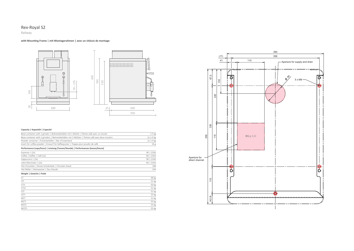

# Rex-Royal S2



### **Capacity | Kapazität | Capacité**

| Bean container with 1 grinder   Bohnenbehälter mit 1 Mühle   Trémie café avec un moulin      | $1.5 \text{ kg}$ |
|----------------------------------------------------------------------------------------------|------------------|
| Bean container with 2 grinders   Bohnenbehälter mit 2 Mühlen   Trémie café avec deux moulins | 2x 1.0 kg        |
| Powder container   Pulverbehälter   Bac d'instantané                                         | 2x 1.0 kg        |
| Insert for coffee powder   Einwurf für Kaffeepulver   Trappe pour poudre de café             | 16 <sub>g</sub>  |
| Performance (cups/hour)   Leistung (Tassen/Stunde)   Performances (tasses/heure)             |                  |
| Espresso $(2x)$                                                                              | 90   (156)       |
| Coffee   Kaffee   Café (2x)                                                                  | 84   (144)       |
| Cappuccino $ (2x)$                                                                           | 90   (156)       |
| Latte Macchiato   (2x)                                                                       | 84   (144)       |
| Hot Chocolate   Heisse Schokolade   Chocolat chaud                                           | 168              |
| Hot Water   Heisswasser   Eau chaude                                                         | 144              |

| CT           | 48 kg |
|--------------|-------|
| <b>CTI</b>   | 51 kg |
| CTH          | 50 kg |
| CTIH         | 52 kg |
| CST          | 51 kg |
| CSTI         | 53 kg |
| $MCT$        | 52 kg |
| MCTI         | 55 kg |
| MCST         | 53 kg |
| <b>MCSTI</b> | 55 kg |

#### **Weight | Gewicht | Poids**

### **with Mounting Frame | mit Montagerahmen | avec un châssis de montage**

### Railway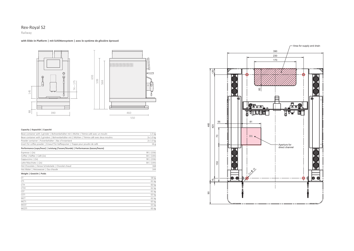



65 kg  $63 kg$  $\overline{65 \text{ kg}}$ 

# Rex-Royal S2

### **with Slide-in Platform | mit Schlittensystem | avec le système de glissière éprouvé**

### **Capacity | Kapazität | Capacité**

| Bean container with 1 grinder   Bohnenbehälter mit 1 Mühle   Trémie café avec un moulin      | $1.5 \text{ kg}$ |
|----------------------------------------------------------------------------------------------|------------------|
| Bean container with 2 grinders   Bohnenbehälter mit 2 Mühlen   Trémie café avec deux moulins | 2x 1.0 kg        |
| Powder container   Pulverbehälter   Bac d'instantané                                         | 2x 1.0 kg        |
| Insert for coffee powder   Einwurf für Kaffeepulver   Trappe pour poudre de café             | 16g              |
| Performance (cups/hour)   Leistung (Tassen/Stunde)   Performances (tasses/heure)             |                  |
| Espresso $(2x)$                                                                              | 90   (156)       |
| Coffee   Kaffee   Café (2x)                                                                  | $84 \mid (144)$  |
| Cappuccino $ (2x)$                                                                           | 90   (156)       |
| Latte Macchiato   (2x)                                                                       | $84 \mid (144)$  |
| Hot Chocolate   Heisse Schokolade   Chocolat chaud                                           | 168              |
| Hot Water   Heisswasser   Eau chaude                                                         | 144              |
| Weight   Gewicht   Poids                                                                     |                  |
| CT.                                                                                          | 58 kg            |
| <b>CTI</b>                                                                                   | 61 kg            |
| <b>CTH</b>                                                                                   | 60 kg            |
| <b>CTIH</b>                                                                                  | 62 kg            |
| <b>CST</b>                                                                                   | 61 kg            |
| <b>CSTI</b>                                                                                  | 63 kg            |
| <b>MCT</b>                                                                                   | 62 kg            |
|                                                                                              |                  |

MCTI MCST MCSTI

### Railway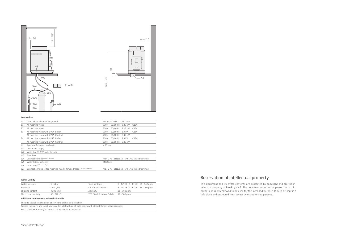| D1             | Direct channel for coffee grounds                                             | Art.no. 033938<br>$\Box$ 110 mm                |
|----------------|-------------------------------------------------------------------------------|------------------------------------------------|
| E1             | All machine types                                                             | 50/60 Hz 2.35 kW<br>C13A<br>230 V              |
| E <sub>2</sub> | All machine types                                                             | 50/60 Hz<br>3.25 kW<br>230 V<br>C16A           |
| F <sub>3</sub> | All machine types with UPS* (Boiler)                                          | 50/60 Hz<br>1.9 kW<br>C13A<br>230 V            |
|                | All machine types with UPS* (Control)                                         | 50/60 Hz<br>0.45 kW<br>230 V                   |
| E4             | All machine types with UPS* (Boiler)                                          | 50/60 Hz 2.8 kW<br>230 V<br>C13A               |
|                | All machine types with UPS* (Control)                                         | 50/60 Hz 0.45 kW<br>230 V                      |
| H1             | Aperture for supply and drain                                                 | $\varnothing$ 80 mm                            |
| W1             | Cold water supply                                                             |                                                |
| W <sub>2</sub> | Water tap (G 3/8" male thread)                                                |                                                |
| W3             | Fine filter                                                                   |                                                |
| W4             | Connection tube (delivery Rex-Royal)                                          | EN13618 - EN61770 tested/certified<br>max. 2 m |
| W5             | Water filter / softener                                                       | EN14743                                        |
| W6             | Drain tube (delivery Rex-Royal)                                               |                                                |
| W7             | (delivery Rex-Royal)<br>Connection tube coffee machine (G 3/8" female thread) | EN13618 - EN61770 tested/certified<br>max. 2 m |
|                |                                                                               |                                                |





| Water pressure        | 1 - 5 bar     | Total hardness                            | 8 - 14° fH 5 - 8° dH 89 - 142 ppm                     |
|-----------------------|---------------|-------------------------------------------|-------------------------------------------------------|
| Flow rate             | $<$ 0.1 l/sec | Carbonate hardness                        | $6 - 10^{\circ}$ fH $3 - 6^{\circ}$ dH $54 - 107$ ppm |
| Chlorine content      | $<$ 30 ppm/l  | Alkalinity                                | 80 - 160 ppm                                          |
| Electric conductivity | 60 - 220 uS   | TDS (Total Dissolved Solids) 70 - 500 ppm |                                                       |

### **Connections**

| <b>Water Quality</b> |
|----------------------|
|----------------------|

### **Additional requirements at installation side**

| The side clearances should be observed to ensure air circulation.                                             |
|---------------------------------------------------------------------------------------------------------------|
| Provide the mains and isolating device (on site) with an all-pole switch with at least 3 mm contact distance. |
| Electrical work may only be carried out by an instructed person.                                              |

### Reservation of intellectual property

This document and its entire contents are protected by copyright and are the intellectual property of Rex-Royal AG. The document must not be passed on to third parties and is only allowed to be used for the intended purpose. It must be kept in a safe place and protected from access by unauthorised persons.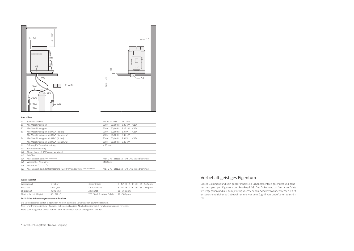| D <sub>1</sub> | Satzdirektabwurf                                                                | Art.no. 033938<br>$-110$ mm                    |  |
|----------------|---------------------------------------------------------------------------------|------------------------------------------------|--|
| E1             | Alle Maschinentypen                                                             | 50/60 Hz 2.35 kW<br>230 V<br>C13A              |  |
| E <sub>2</sub> | Alle Maschinentypen                                                             | 50/60 Hz<br>3.25 kW<br>C16A<br>230 V           |  |
| F <sub>3</sub> | Alle Maschinentypen mit USV* (Boiler)                                           | 50/60 Hz<br>1.9 kW<br>C13A<br>230 V            |  |
|                | Alle Maschinentypen mit USV* (Steuerung)                                        | 50/60 Hz<br>0.45 kW<br>230 V                   |  |
| E4             | Alle Maschinentypen mit USV* (Boiler)                                           | 50/60 Hz<br>2.8 kW<br>230 V<br>C13A            |  |
|                | Alle Maschinentypen mit USV* (Steuerung)                                        | 50/60 Hz<br>0.45 kW<br>230 V                   |  |
| H1             | Öffnung für Zu- und Ableitung                                                   | Ø 80 mm                                        |  |
| W1             | Kaltwasserzuleitung                                                             |                                                |  |
| W <sub>2</sub> | Absperrhahn (G 3/8" Aussengewinde)                                              |                                                |  |
| W <sub>3</sub> | Feinfilter                                                                      |                                                |  |
| W4             | Anschlussschlauch (Lieferung Rex-Royal)                                         | EN13618 - EN61770 tested/certified<br>max. 2 m |  |
| W5             | Wasserfilter / Enthärter                                                        | FN14743                                        |  |
| W6             | Ablaufrohr (Lieferung Rex-Royal)                                                |                                                |  |
| W7             | (Lieferung Rex-Royal)<br>Anschlussschlauch Kaffeemaschine (G 3/8" Innengewinde) | EN13618 - EN61770 tested/certified<br>max. 2 m |  |
|                |                                                                                 |                                                |  |





| Wasserdruck               | 1 - 5 bar     | Gesamthärte                               | $8 - 14^{\circ}$ fH $5 - 8^{\circ}$ dH $89 - 142$ ppm |
|---------------------------|---------------|-------------------------------------------|-------------------------------------------------------|
| Flussrate                 | $<$ 0.1 l/sec | Karbonathärte                             | $6 - 10^{\circ}$ fH $3 - 6^{\circ}$ dH $54 - 107$ ppm |
| Chlorgehalt               | $<$ 30 ppm/l  | Alkalinität                               | 80 - 160 ppm                                          |
| Elektrische Leitfähigkeit | 60 - 220 µS   | TDS (Total Dissolved Solids) 70 - 500 ppm |                                                       |

### **Anschlüsse**

#### **Wasserqualität**

### **Zusätzliche Anforderungen an den Aufstellort**

| Die Seitenabstände sollten eingehalten werden, damit die Luftzirkulation gewährleistet wird.                  |
|---------------------------------------------------------------------------------------------------------------|
| Netz- und Trennvorrichtung (Bauseits) mit einem allpoligen Abschalter mit mind. 3 mm Kontaktabstand versehen. |
| Elektrische Tätigkeiten dürfen nur von einer instruierten Person durchgeführt werden.                         |

### Vorbehalt geistiges Eigentum

Dieses Dokument und sein ganzer Inhalt sind urheberrechtlich geschützt und gehören zum geistigen Eigentum der Rex-Royal AG. Das Dokument darf nicht an Dritte weitergegeben und nur zum jeweilig vorgesehenen Zweck verwendet werden. Es ist entsprechend sicher aufzubewahren und vor dem Zugriff von Unbefugten zu schützen.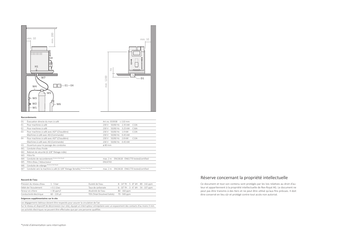| D1             | Évacuation directe du marc à café                                                  | Art.no. 033938 □ 110 mm                        |
|----------------|------------------------------------------------------------------------------------|------------------------------------------------|
| E1             | Pour machines à café                                                               | 230 V 50/60 Hz 2.35 kW<br>C13A                 |
| E <sub>2</sub> | Pour machines à café                                                               | 50/60 Hz<br>3.25 kW<br>230 V<br>C16A           |
| E3             | Pour machines à café avec ASI* (Chaudière)                                         | 50/60 Hz<br>1.9 kW<br>230 V<br>C13A            |
|                | Machines à café avec ASI (Commande)                                                | 50/60 Hz<br>0.45 kW<br>230 V                   |
| Ε4             | Pour machines à café avec ASI* (Chaudière)                                         | 50/60 Hz<br>2.8 kW<br>C13A<br>230 V            |
|                | Machines à café avec ASI (Commande)                                                | 50/60 Hz 0.45 kW<br>230 V                      |
| H1             | Ouverture pour le passage des conduites                                            | $\phi$ 80 mm                                   |
| W1             | Conduite d'eau froide                                                              |                                                |
| W <sub>2</sub> | Robinet de sécurité (G 3/8" filetage mâle)                                         |                                                |
| W3             | Filtre fin                                                                         |                                                |
|                | W4 Conduite de raccordement (livraison Rex-Royal)                                  | EN13618 - EN61770 tested/certified<br>max. 2 m |
| W5             | Filtre d'eau / Adoucisseur                                                         | EN14743                                        |
| W6             | Conduite de vidange (livraison Rex-Royal)                                          |                                                |
|                | W7 Conduite vers la machine à café (G 3/8" filetage femelle) (livraison Rex-Royal) | EN13618 - EN61770 tested/certified<br>max. 2 m |





| Pression du réseau d'eau | 1 - 5 bar     | Dureté de l'eau                           | $8 - 14^{\circ}$ fH $5 - 8^{\circ}$ dH $89 - 142$ ppm |
|--------------------------|---------------|-------------------------------------------|-------------------------------------------------------|
| Débit de l'écoulement    | $<$ 0.1 l/sec | Taux de carbonate                         | $6 - 10^{\circ}$ fH $3 - 6^{\circ}$ dH $54 - 107$ ppm |
| Teneur en chlore         | $<$ 30 ppm/l  | Alcalinité de l'eau                       | 80 - 160 ppm                                          |
| Conductivité électrique  | 60 - 220 µS   | TDS (Total Dissolved Solids) 70 - 500 ppm |                                                       |

#### **Raccordements**

#### **Raccord de l'eau**

#### **Exigences supplémentaires sur le site**

Les dégagements latéraux doivent être respectés pour assurer la circulation de l'air. Sur le réseau et dispositif de déconnexion (sur site), équipé un interrupteur omnipolaire avec un espacement des contacts d'au moins 3 mm. Les activités électriques ne peuvent être effectuées que par une personne qualifiée.

### Réserve concernant la propriété intellectuelle

Ce document et tout son contenu sont protégés par les lois relatives au droit d'auteur et appartiennent à la propriété intellectuelle de Rex-Royal AG. Le document ne peut pas être transmis à des tiers et ne peut être utilisé qu'aux fins prévues. Il doit être conservé en lieu sûr et protégé contre tout accès non autorisé.